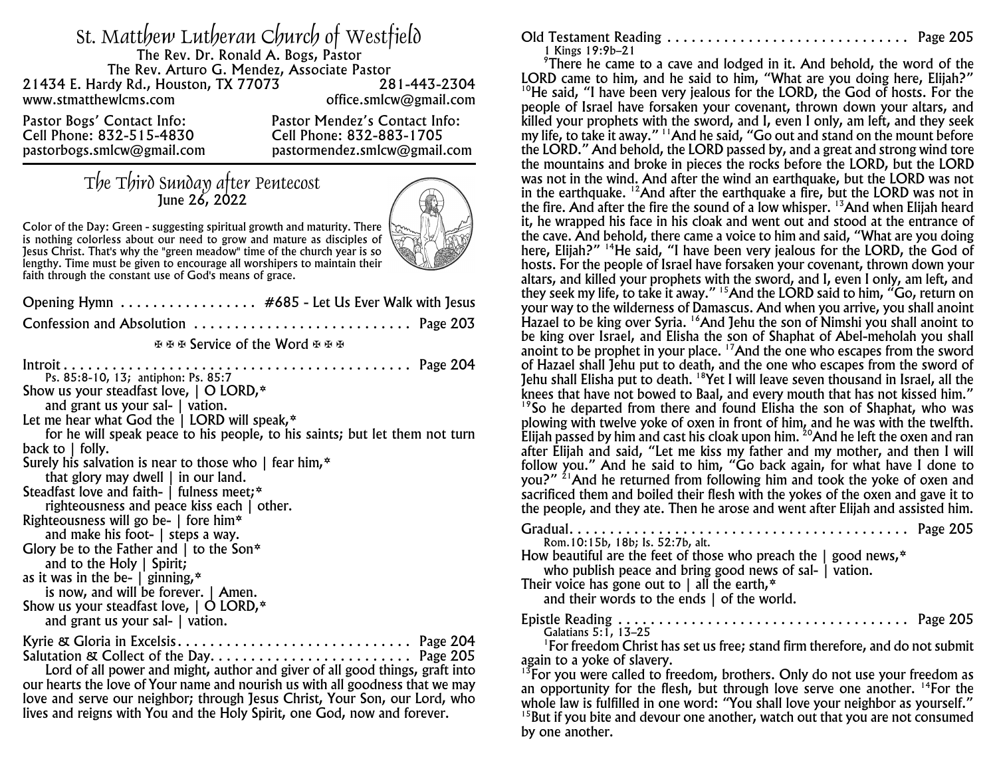| st. Matthew Lutheran Church of Westfield<br>The Rev. Dr. Ronald A. Bogs, Pastor<br>The Rev. Arturo G. Mendez, Associate Pastor |                               |
|--------------------------------------------------------------------------------------------------------------------------------|-------------------------------|
| 21434 E. Hardy Rd., Houston, TX 77073                                                                                          | 281-443-2304                  |
| www.stmatthewlcms.com                                                                                                          | office.smlcw@gmail.com        |
| Pastor Bogs' Contact Info:                                                                                                     | Pastor Mendez's Contact Info: |
| Cell Phone: 832-515-4830                                                                                                       | Cell Phone: 832-883-1705      |
| pastorbogs.smlcw@gmail.com                                                                                                     | pastormendez.smlcw@gmail.com  |

## The Third Sunday after Pentecost June 26, 2022



*Color of the Day: Green - suggesting spiritual growth and maturity. There is nothing colorless about our need to grow and mature as disciples of Jesus Christ. That's why the "green meadow" time of the church year is so lengthy. Time must be given to encourage all worshipers to maintain their faith through the constant use of God's means of grace.*

| Opening Hymn #685 - Let Us Ever Walk with Jesus                                                                                                                                                                                                                                                                                                                                                                                                                                                                                                                                                                                                                                                                                                                                                                                 |
|---------------------------------------------------------------------------------------------------------------------------------------------------------------------------------------------------------------------------------------------------------------------------------------------------------------------------------------------------------------------------------------------------------------------------------------------------------------------------------------------------------------------------------------------------------------------------------------------------------------------------------------------------------------------------------------------------------------------------------------------------------------------------------------------------------------------------------|
| Confession and Absolution  Page 203                                                                                                                                                                                                                                                                                                                                                                                                                                                                                                                                                                                                                                                                                                                                                                                             |
| មមម Service of the Word មមម                                                                                                                                                                                                                                                                                                                                                                                                                                                                                                                                                                                                                                                                                                                                                                                                     |
| Ps. 85:8-10, 13; antiphon: Ps. 85:7<br>Show us your steadfast love, $\vert$ O LORD, $*$<br>and grant us your sal- $\vert$ vation.<br>Let me hear what God the $\vert$ LORD will speak, $*$<br>for he will speak peace to his people, to his saints; but let them not turn<br>back to $\vert$ folly.<br>Surely his salvation is near to those who $\parallel$ fear him, $*$<br>that glory may dwell $\vert$ in our land.<br>Steadfast love and faith-   fulness meet;*<br>righteousness and peace kiss each   other.<br>Righteousness will go be-   fore him*<br>and make his foot-   steps a way.<br>Glory be to the Father and $\vert$ to the Son*<br>and to the Holy $\vert$ Spirit;<br>as it was in the be- $\vert$ ginning, $*$<br>is now, and will be forever.   Amen.<br>Show us your steadfast love, $\vert$ O LORD, $*$ |
| and grant us your sal-   vation.                                                                                                                                                                                                                                                                                                                                                                                                                                                                                                                                                                                                                                                                                                                                                                                                |
| Kyrie & Gloria in Excelsis Page 204<br>Salutation & Collect of the Day Page 205<br>Lord of all power and might, author and giver of all good things, graft into<br>our hearts the love of Your name and nourish us with all goodness that we may<br>love and serve our neighbor; through Jesus Christ, Your Son, our Lord, who                                                                                                                                                                                                                                                                                                                                                                                                                                                                                                  |

lives and reigns with You and the Holy Spirit, one God, now and forever.

| 1 Kings 19:9b-21 |  |
|------------------|--|

<sup>9</sup>There he came to a cave and lodged in it. And behold, the word of the LORD came to him, and he said to him, "What are you doing here, Elijah?" <sup>10</sup>He said, "I have been very jealous for the LORD, the God of hosts. For the people of Israel have forsaken your covenant, thrown down your altars, and killed your prophets with the sword, and I, even I only, am left, and they seek my life, to take it away." <sup>11</sup>And he said, "Go out and stand on the mount before the LORD." And behold, the LORD passed by, and a great and strong wind tore the mountains and broke in pieces the rocks before the LORD, but the LORD was not in the wind. And after the wind an earthquake, but the LORD was not in the earthquake. <sup>12</sup>And after the earthquake a fire, but the LORD was not in the fire. And after the fire the sound of a low whisper. <sup>13</sup>And when Elijah heard it, he wrapped his face in his cloak and went out and stood at the entrance of the cave. And behold, there came a voice to him and said, "What are you doing here, Elijah?" <sup>14</sup>He said, "I have been very jealous for the LORD, the God of hosts. For the people of Israel have forsaken your covenant, thrown down your altars, and killed your prophets with the sword, and I, even I only, am left, and they seek my life, to take it away." <sup>15</sup>And the LORD said to him, "Go, return on your way to the wilderness of Damascus. And when you arrive, you shall anoint Hazael to be king over Syria. <sup>16</sup>And Jehu the son of Nimshi you shall anoint to be king over Israel, and Elisha the son of Shaphat of Abel-meholah you shall anoint to be prophet in your place. <sup>17</sup>And the one who escapes from the sword of Hazael shall Jehu put to death, and the one who escapes from the sword of Jehu shall Elisha put to death. <sup>18</sup>Yet I will leave seven thousand in Israel, all the knees that have not bowed to Baal, and every mouth that has not kissed him." <sup>19</sup> So he departed from there and found Elisha the son of Shaphat, who was plowing with twelve yoke of oxen in front of him, and he was with the twelfth.

Elijah passed by him and cast his cloak upon him. <sup>20</sup>And he left the oxen and ran after Elijah and said, "Let me kiss my father and my mother, and then I will follow you." And he said to him, "Go back again, for what have I done to you?" <sup>21</sup>And he returned from following him and took the yoke of oxen and sacrificed them and boiled their flesh with the yokes of the oxen and gave it to the people, and they ate. Then he arose and went after Elijah and assisted him.

| Rom. 10:15b, 18b; Is. 52:7b, alt.                                                                                                                                    |  |
|----------------------------------------------------------------------------------------------------------------------------------------------------------------------|--|
| How beautiful are the feet of those who preach the $\parallel$ good news, $*$<br>who publish peace and bring good news of sal-   vation.                             |  |
| Their voice has gone out to $\vert$ all the earth, $*$<br>and their words to the ends $\vert$ of the world.                                                          |  |
| Galatians 5:1, 13-25                                                                                                                                                 |  |
| <sup>1</sup> For freedom Christ has set us free; stand firm therefore, and do not submit                                                                             |  |
| again to a yoke of slavery.                                                                                                                                          |  |
| <sup>13</sup> For you were called to freedom, brothers. Only do not use your freedom as                                                                              |  |
| an opportunity for the flesh, but through love serve one another. $^{14}$ For the<br>whole law is fulfilled in one word: "You shall love your neighbor as yourself." |  |

whole law is fulfilled in one word: "You shall love your neighbor as yourself." 15 But if you bite and devour one another, watch out that you are not consumed by one another.